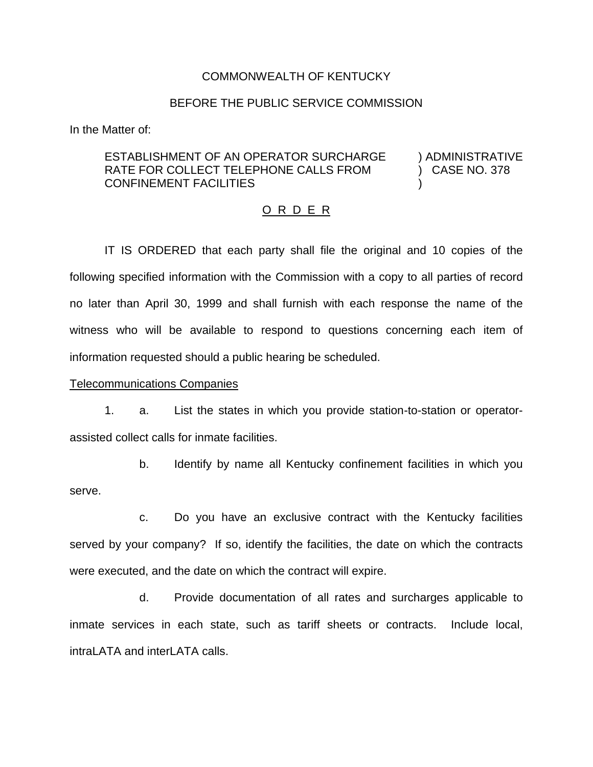#### COMMONWEALTH OF KENTUCKY

#### BEFORE THE PUBLIC SERVICE COMMISSION

In the Matter of:

## ESTABLISHMENT OF AN OPERATOR SURCHARGE ) ADMINISTRATIVE RATE FOR COLLECT TELEPHONE CALLS FROM (378) CASE NO. 378 CONFINEMENT FACILITIES )

#### O R D E R

IT IS ORDERED that each party shall file the original and 10 copies of the following specified information with the Commission with a copy to all parties of record no later than April 30, 1999 and shall furnish with each response the name of the witness who will be available to respond to questions concerning each item of information requested should a public hearing be scheduled.

### Telecommunications Companies

1. a. List the states in which you provide station-to-station or operatorassisted collect calls for inmate facilities.

b. Identify by name all Kentucky confinement facilities in which you serve.

c. Do you have an exclusive contract with the Kentucky facilities served by your company? If so, identify the facilities, the date on which the contracts were executed, and the date on which the contract will expire.

d. Provide documentation of all rates and surcharges applicable to inmate services in each state, such as tariff sheets or contracts. Include local, intraLATA and interLATA calls.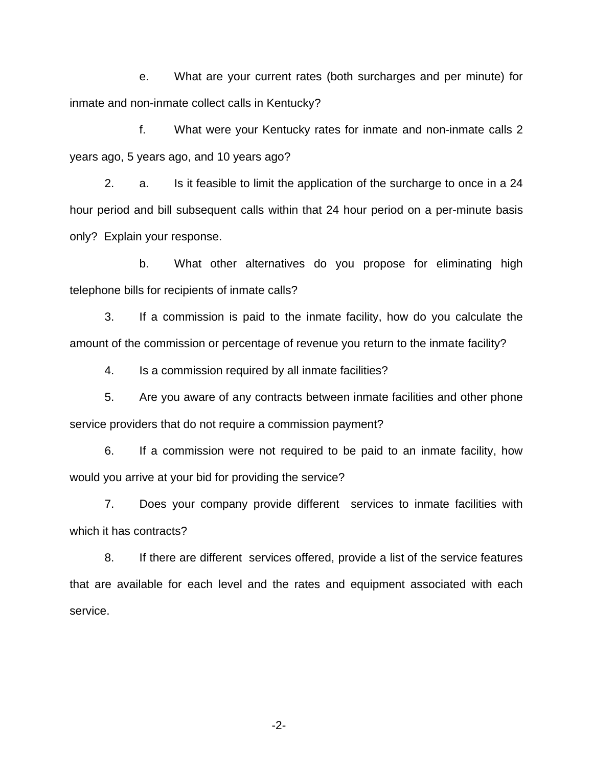e. What are your current rates (both surcharges and per minute) for inmate and non-inmate collect calls in Kentucky?

f. What were your Kentucky rates for inmate and non-inmate calls 2 years ago, 5 years ago, and 10 years ago?

2. a. Is it feasible to limit the application of the surcharge to once in a 24 hour period and bill subsequent calls within that 24 hour period on a per-minute basis only? Explain your response.

b. What other alternatives do you propose for eliminating high telephone bills for recipients of inmate calls?

3. If a commission is paid to the inmate facility, how do you calculate the amount of the commission or percentage of revenue you return to the inmate facility?

4. Is a commission required by all inmate facilities?

5. Are you aware of any contracts between inmate facilities and other phone service providers that do not require a commission payment?

6. If a commission were not required to be paid to an inmate facility, how would you arrive at your bid for providing the service?

7. Does your company provide different services to inmate facilities with which it has contracts?

8. If there are different services offered, provide a list of the service features that are available for each level and the rates and equipment associated with each service.

-2-